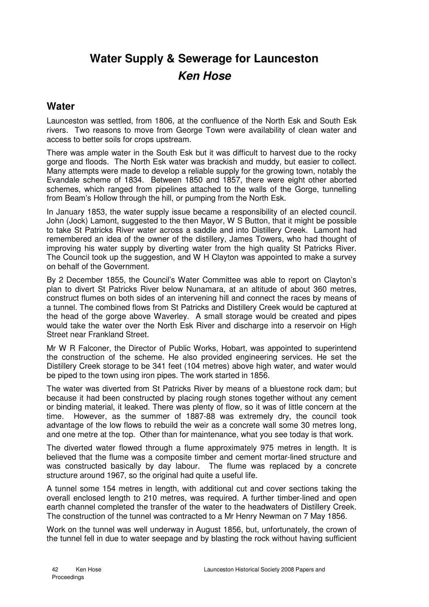## **Water Supply & Sewerage for Launceston Ken Hose**

## **Water**

Launceston was settled, from 1806, at the confluence of the North Esk and South Esk rivers. Two reasons to move from George Town were availability of clean water and access to better soils for crops upstream.

There was ample water in the South Esk but it was difficult to harvest due to the rocky gorge and floods. The North Esk water was brackish and muddy, but easier to collect. Many attempts were made to develop a reliable supply for the growing town, notably the Evandale scheme of 1834. Between 1850 and 1857, there were eight other aborted schemes, which ranged from pipelines attached to the walls of the Gorge, tunnelling from Beam's Hollow through the hill, or pumping from the North Esk.

In January 1853, the water supply issue became a responsibility of an elected council. John (Jock) Lamont, suggested to the then Mayor, W S Button, that it might be possible to take St Patricks River water across a saddle and into Distillery Creek. Lamont had remembered an idea of the owner of the distillery, James Towers, who had thought of improving his water supply by diverting water from the high quality St Patricks River. The Council took up the suggestion, and W H Clayton was appointed to make a survey on behalf of the Government.

By 2 December 1855, the Council's Water Committee was able to report on Clayton's plan to divert St Patricks River below Nunamara, at an altitude of about 360 metres, construct flumes on both sides of an intervening hill and connect the races by means of a tunnel. The combined flows from St Patricks and Distillery Creek would be captured at the head of the gorge above Waverley. A small storage would be created and pipes would take the water over the North Esk River and discharge into a reservoir on High Street near Frankland Street.

Mr W R Falconer, the Director of Public Works, Hobart, was appointed to superintend the construction of the scheme. He also provided engineering services. He set the Distillery Creek storage to be 341 feet (104 metres) above high water, and water would be piped to the town using iron pipes. The work started in 1856.

The water was diverted from St Patricks River by means of a bluestone rock dam; but because it had been constructed by placing rough stones together without any cement or binding material, it leaked. There was plenty of flow, so it was of little concern at the time. However, as the summer of 1887-88 was extremely dry, the council took advantage of the low flows to rebuild the weir as a concrete wall some 30 metres long, and one metre at the top. Other than for maintenance, what you see today is that work.

The diverted water flowed through a flume approximately 975 metres in length. It is believed that the flume was a composite timber and cement mortar-lined structure and was constructed basically by day labour. The flume was replaced by a concrete structure around 1967, so the original had quite a useful life.

A tunnel some 154 metres in length, with additional cut and cover sections taking the overall enclosed length to 210 metres, was required. A further timber-lined and open earth channel completed the transfer of the water to the headwaters of Distillery Creek. The construction of the tunnel was contracted to a Mr Henry Newman on 7 May 1856.

Work on the tunnel was well underway in August 1856, but, unfortunately, the crown of the tunnel fell in due to water seepage and by blasting the rock without having sufficient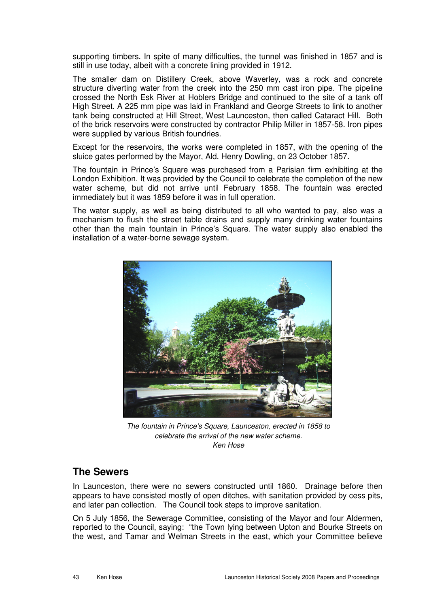supporting timbers. In spite of many difficulties, the tunnel was finished in 1857 and is still in use today, albeit with a concrete lining provided in 1912.

The smaller dam on Distillery Creek, above Waverley, was a rock and concrete structure diverting water from the creek into the 250 mm cast iron pipe. The pipeline crossed the North Esk River at Hoblers Bridge and continued to the site of a tank off High Street. A 225 mm pipe was laid in Frankland and George Streets to link to another tank being constructed at Hill Street, West Launceston, then called Cataract Hill. Both of the brick reservoirs were constructed by contractor Philip Miller in 1857-58. Iron pipes were supplied by various British foundries.

Except for the reservoirs, the works were completed in 1857, with the opening of the sluice gates performed by the Mayor, Ald. Henry Dowling, on 23 October 1857.

The fountain in Prince's Square was purchased from a Parisian firm exhibiting at the London Exhibition. It was provided by the Council to celebrate the completion of the new water scheme, but did not arrive until February 1858. The fountain was erected immediately but it was 1859 before it was in full operation.

The water supply, as well as being distributed to all who wanted to pay, also was a mechanism to flush the street table drains and supply many drinking water fountains other than the main fountain in Prince's Square. The water supply also enabled the installation of a water-borne sewage system.



The fountain in Prince's Square, Launceston, erected in 1858 to celebrate the arrival of the new water scheme. Ken Hose

## **The Sewers**

In Launceston, there were no sewers constructed until 1860. Drainage before then appears to have consisted mostly of open ditches, with sanitation provided by cess pits, and later pan collection. The Council took steps to improve sanitation.

On 5 July 1856, the Sewerage Committee, consisting of the Mayor and four Aldermen, reported to the Council, saying: "the Town lying between Upton and Bourke Streets on the west, and Tamar and Welman Streets in the east, which your Committee believe